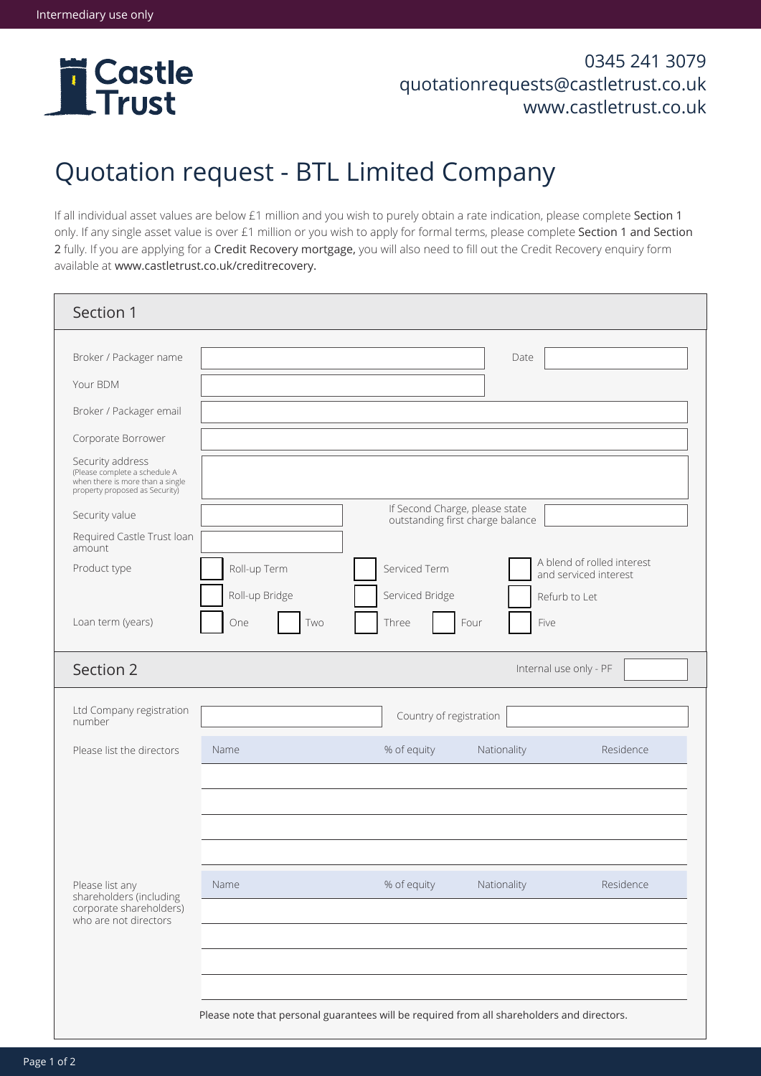

## 0345 241 3079 quotationrequests@castletrust.co.uk www.castletrust.co.uk

## Quotation request - BTL Limited Company

If all individual asset values are below £1 million and you wish to purely obtain a rate indication, please complete Section 1 only. If any single asset value is over £1 million or you wish to apply for formal terms, please complete Section 1 and Section 2 fully. If you are applying for a Credit Recovery mortgage, you will also need to fill out the Credit Recovery enquiry form available at www.castletrust.co.uk/creditrecovery.

| Section 1                                                                                                               |                                                                                            |                                                                    |                                                     |  |
|-------------------------------------------------------------------------------------------------------------------------|--------------------------------------------------------------------------------------------|--------------------------------------------------------------------|-----------------------------------------------------|--|
| Broker / Packager name<br>Your BDM                                                                                      |                                                                                            |                                                                    | Date                                                |  |
| Broker / Packager email                                                                                                 |                                                                                            |                                                                    |                                                     |  |
| Corporate Borrower                                                                                                      |                                                                                            |                                                                    |                                                     |  |
| Security address<br>(Please complete a schedule A<br>when there is more than a single<br>property proposed as Security) |                                                                                            |                                                                    |                                                     |  |
| Security value                                                                                                          |                                                                                            | If Second Charge, please state<br>outstanding first charge balance |                                                     |  |
| Required Castle Trust Ioan<br>amount                                                                                    |                                                                                            |                                                                    |                                                     |  |
| Product type                                                                                                            | Roll-up Term                                                                               | Serviced Term                                                      | A blend of rolled interest<br>and serviced interest |  |
|                                                                                                                         | Roll-up Bridge                                                                             | Serviced Bridge                                                    | Refurb to Let                                       |  |
| Loan term (years)                                                                                                       | One<br>Two                                                                                 | Three<br>Four                                                      | Five                                                |  |
| Section 2                                                                                                               |                                                                                            |                                                                    | Internal use only - PF                              |  |
| Ltd Company registration<br>number                                                                                      |                                                                                            | Country of registration                                            |                                                     |  |
| Please list the directors                                                                                               | Name                                                                                       | % of equity                                                        | Residence<br>Nationality                            |  |
|                                                                                                                         |                                                                                            |                                                                    |                                                     |  |
| Please list any<br>shareholders (including<br>corporate shareholders)<br>who are not directors                          | Name                                                                                       | % of equity                                                        | Residence<br>Nationality                            |  |
|                                                                                                                         | Please note that personal guarantees will be required from all shareholders and directors. |                                                                    |                                                     |  |